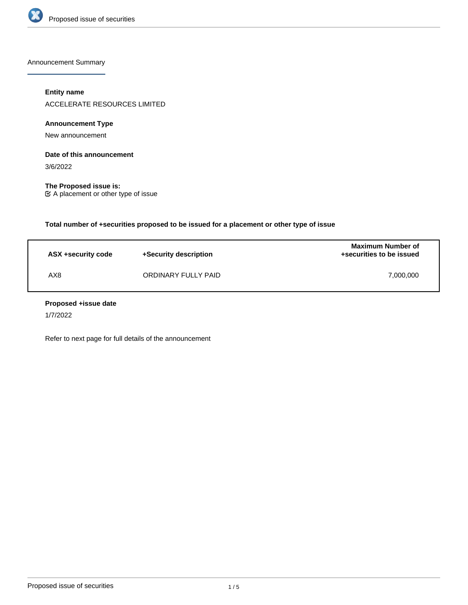

Announcement Summary

# **Entity name**

ACCELERATE RESOURCES LIMITED

# **Announcement Type**

New announcement

# **Date of this announcement**

3/6/2022

**The Proposed issue is:** A placement or other type of issue

**Total number of +securities proposed to be issued for a placement or other type of issue**

| ASX +security code | +Security description | <b>Maximum Number of</b><br>+securities to be issued |
|--------------------|-----------------------|------------------------------------------------------|
| AX8                | ORDINARY FULLY PAID   | 7.000.000                                            |

#### **Proposed +issue date**

1/7/2022

Refer to next page for full details of the announcement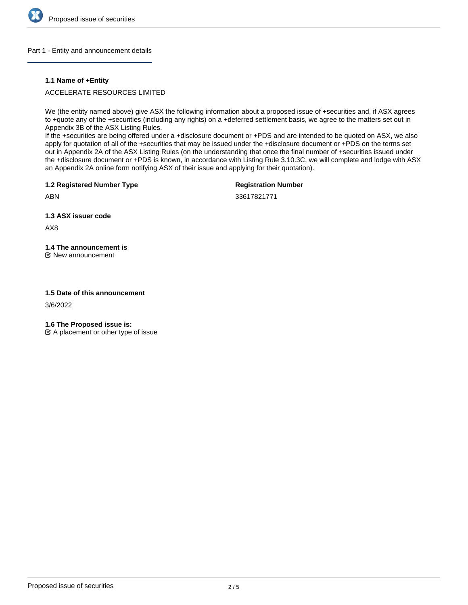

#### Part 1 - Entity and announcement details

#### **1.1 Name of +Entity**

## ACCELERATE RESOURCES LIMITED

We (the entity named above) give ASX the following information about a proposed issue of +securities and, if ASX agrees to +quote any of the +securities (including any rights) on a +deferred settlement basis, we agree to the matters set out in Appendix 3B of the ASX Listing Rules.

If the +securities are being offered under a +disclosure document or +PDS and are intended to be quoted on ASX, we also apply for quotation of all of the +securities that may be issued under the +disclosure document or +PDS on the terms set out in Appendix 2A of the ASX Listing Rules (on the understanding that once the final number of +securities issued under the +disclosure document or +PDS is known, in accordance with Listing Rule 3.10.3C, we will complete and lodge with ASX an Appendix 2A online form notifying ASX of their issue and applying for their quotation).

**1.2 Registered Number Type**

**Registration Number**

33617821771

**1.3 ASX issuer code**

AX8

ABN

# **1.4 The announcement is**

New announcement

#### **1.5 Date of this announcement**

3/6/2022

**1.6 The Proposed issue is:**

 $\mathfrak{C}$  A placement or other type of issue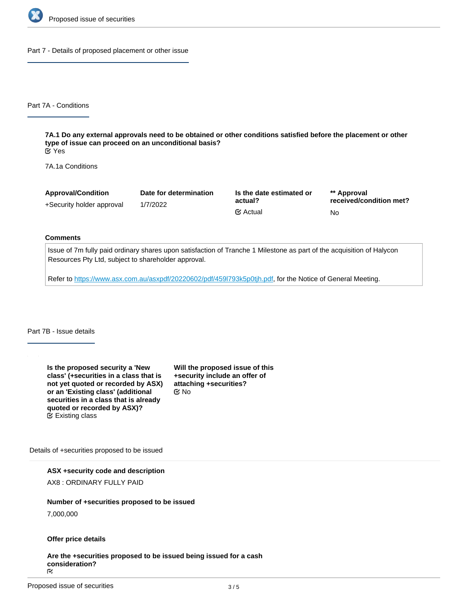

Part 7 - Details of proposed placement or other issue

Part 7A - Conditions

**7A.1 Do any external approvals need to be obtained or other conditions satisfied before the placement or other type of issue can proceed on an unconditional basis?** Yes

7A.1a Conditions

| <b>Approval/Condition</b> | Date for determination | Is the date estimated or | ** Approval             |
|---------------------------|------------------------|--------------------------|-------------------------|
| +Security holder approval | 1/7/2022               | actual?                  | received/condition met? |
|                           |                        | <b></b> i⊠ Actual        | No.                     |

#### **Comments**

Issue of 7m fully paid ordinary shares upon satisfaction of Tranche 1 Milestone as part of the acquisition of Halycon Resources Pty Ltd, subject to shareholder approval.

Refer to<https://www.asx.com.au/asxpdf/20220602/pdf/459l793k5p0tjh.pdf>, for the Notice of General Meeting.

Part 7B - Issue details

**Is the proposed security a 'New class' (+securities in a class that is not yet quoted or recorded by ASX) or an 'Existing class' (additional securities in a class that is already quoted or recorded by ASX)?** Existing class

**Will the proposed issue of this +security include an offer of attaching +securities?** No

Details of +securities proposed to be issued

**ASX +security code and description**

AX8 : ORDINARY FULLY PAID

## **Number of +securities proposed to be issued**

7,000,000

# **Offer price details**

**Are the +securities proposed to be issued being issued for a cash** consideration?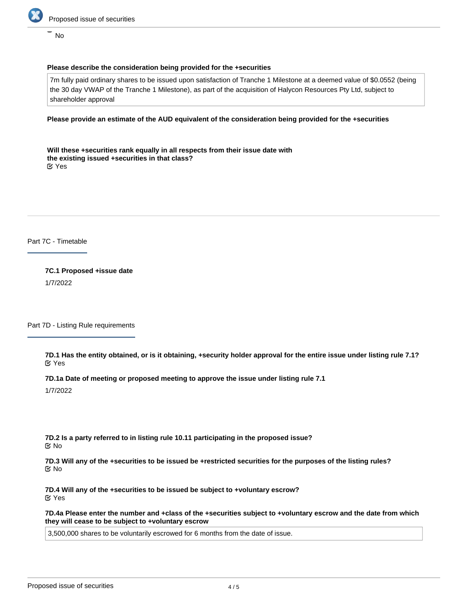

No

# **Please describe the consideration being provided for the +securities**

7m fully paid ordinary shares to be issued upon satisfaction of Tranche 1 Milestone at a deemed value of \$0.0552 (being the 30 day VWAP of the Tranche 1 Milestone), as part of the acquisition of Halycon Resources Pty Ltd, subject to shareholder approval

#### **Please provide an estimate of the AUD equivalent of the consideration being provided for the +securities**

**Will these +securities rank equally in all respects from their issue date with the existing issued +securities in that class?** Yes

Part 7C - Timetable

**7C.1 Proposed +issue date** 1/7/2022

Part 7D - Listing Rule requirements

**7D.1 Has the entity obtained, or is it obtaining, +security holder approval for the entire issue under listing rule 7.1?** Yes

**7D.1a Date of meeting or proposed meeting to approve the issue under listing rule 7.1**

1/7/2022

**7D.2 Is a party referred to in listing rule 10.11 participating in the proposed issue?** No

**7D.3 Will any of the +securities to be issued be +restricted securities for the purposes of the listing rules?** No

**7D.4 Will any of the +securities to be issued be subject to +voluntary escrow?** Yes

**7D.4a Please enter the number and +class of the +securities subject to +voluntary escrow and the date from which they will cease to be subject to +voluntary escrow**

3,500,000 shares to be voluntarily escrowed for 6 months from the date of issue.